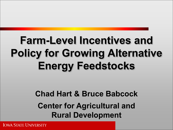### **Farm-Level Incentives and Policy for Growing Alternative Energy Feedstocks**

#### **Chad Hart & Bruce Babcock Center for Agricultural and Rural Development**

**IOWA STATE UNIVERSITY**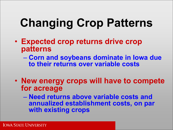# **Changing Crop Patterns**

- **Expected crop returns drive crop patterns** 
	- **Corn and soybeans dominate in Iowa due to their returns over variable costs**
- **New energy crops will have to compete for acreage** 
	- **Need returns above variable costs and annualized establishment costs, on par with existing crops**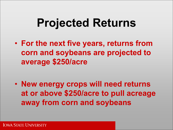# **Projected Returns**

• **For the next five years, returns from corn and soybeans are projected to average \$250/acre** 

• **New energy crops will need returns at or above \$250/acre to pull acreage away from corn and soybeans**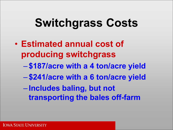# **Switchgrass Costs**

- **Estimated annual cost of producing switchgrass** 
	- **\$187/acre with a 4 ton/acre yield**
	- **\$241/acre with a 6 ton/acre yield**
	- **Includes baling, but not transporting the bales off-farm**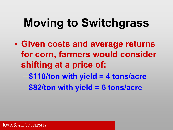# **Moving to Switchgrass**

• **Given costs and average returns for corn, farmers would consider shifting at a price of:**  – **\$110/ton with yield = 4 tons/acre**  – **\$82/ton with yield = 6 tons/acre**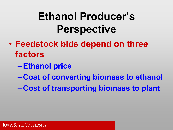### **Ethanol Producer's Perspective**

- **Feedstock bids depend on three factors** 
	- –**Ethanol price**
	- **Cost of converting biomass to ethanol**
	- **Cost of transporting biomass to plant**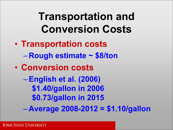#### **Transportation and Conversion Costs**

- **Transportation costs**  – **Rough estimate ~ \$8/ton**
- **Conversion costs** 
	- –**English et al. (2006) \$1.40/gallon in 2006 \$0.73/gallon in 2015**
	- **Average 2008-2012 = \$1.10/gallon**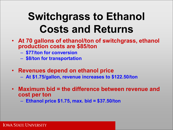### **Switchgrass to Ethanol Costs and Returns**

- **At 70 gallons of ethanol/ton of switchgrass, ethanol production costs are \$85/ton** 
	- **\$77/ton for conversion**
	- **\$8/ton for transportation**
- **Revenues depend on ethanol price** 
	- **At \$1.75/gallon, revenue increases to \$122.50/ton**
- **Maximum bid = the difference between revenue and cost per ton**

– **Ethanol price \$1.75, max. bid = \$37.50/ton**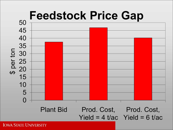

**IOWA STATE UNIVERSITY**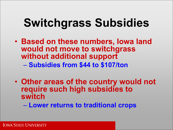# **Switchgrass Subsidies**

- **Based on these numbers, Iowa land would not move to switchgrass without additional support**  – **Subsidies from \$44 to \$107/ton**
- **Other areas of the country would not require such high subsidies to switch**

– **Lower returns to traditional crops**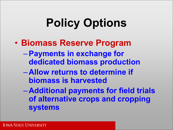# **Policy Options**

- **Biomass Reserve Program** 
	- –**Payments in exchange for dedicated biomass production**
	- **Allow returns to determine if biomass is harvested**
	- **Additional payments for field trials of alternative crops and cropping systems**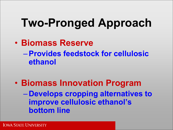# **Two-Pronged Approach**

- **Biomass Reserve**  –**Provides feedstock for cellulosic ethanol**
- **Biomass Innovation Program**  – **Develops cropping alternatives to improve cellulosic ethanol's bottom line**